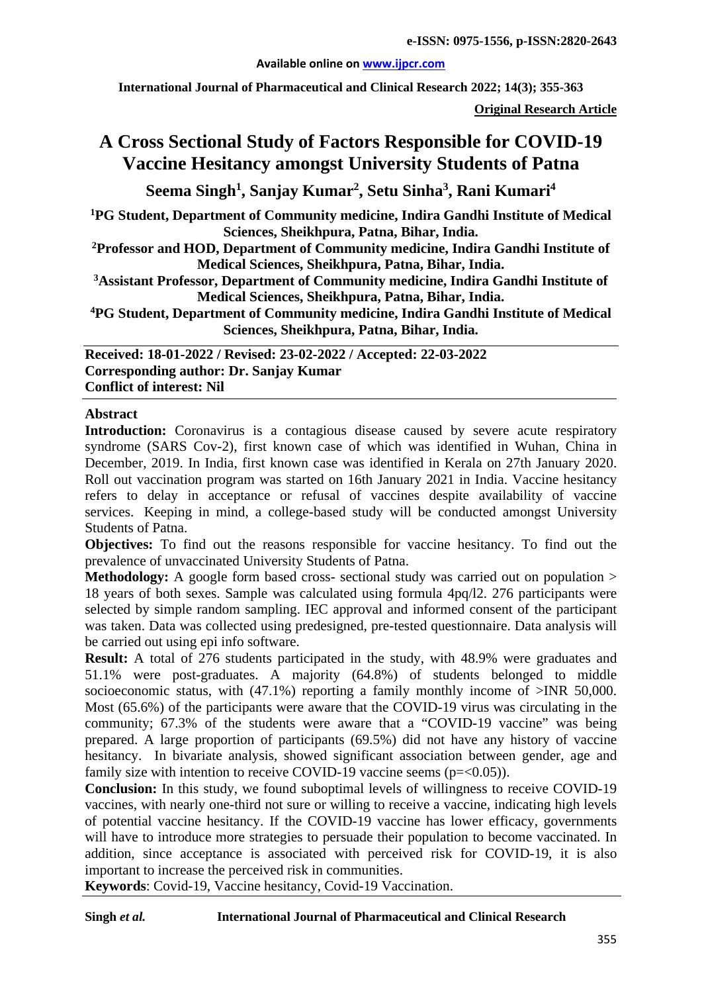#### **Available online on [www.ijpcr.com](http://www.ijpcr.com/)**

**International Journal of Pharmaceutical and Clinical Research 2022; 14(3); 355-363**

**Original Research Article**

# **A Cross Sectional Study of Factors Responsible for COVID-19 Vaccine Hesitancy amongst University Students of Patna**

**Seema Singh1 , Sanjay Kumar2 , Setu Sinha3 , Rani Kumari<sup>4</sup>**

**1PG Student, Department of Community medicine, Indira Gandhi Institute of Medical Sciences, Sheikhpura, Patna, Bihar, India.**

**2Professor and HOD, Department of Community medicine, Indira Gandhi Institute of Medical Sciences, Sheikhpura, Patna, Bihar, India.**

**3Assistant Professor, Department of Community medicine, Indira Gandhi Institute of Medical Sciences, Sheikhpura, Patna, Bihar, India.**

**4PG Student, Department of Community medicine, Indira Gandhi Institute of Medical Sciences, Sheikhpura, Patna, Bihar, India.**

**Received: 18-01-2022 / Revised: 23-02-2022 / Accepted: 22-03-2022 Corresponding author: Dr. Sanjay Kumar Conflict of interest: Nil**

## **Abstract**

**Introduction:** Coronavirus is a contagious disease caused by severe acute respiratory syndrome (SARS Cov-2), first known case of which was identified in Wuhan, China in December, 2019. In India, first known case was identified in Kerala on 27th January 2020. Roll out vaccination program was started on 16th January 2021 in India. Vaccine hesitancy refers to delay in acceptance or refusal of vaccines despite availability of vaccine services. Keeping in mind, a college-based study will be conducted amongst University Students of Patna.

**Objectives:** To find out the reasons responsible for vaccine hesitancy. To find out the prevalence of unvaccinated University Students of Patna.

**Methodology:** A google form based cross- sectional study was carried out on population > 18 years of both sexes. Sample was calculated using formula 4pq/l2. 276 participants were selected by simple random sampling. IEC approval and informed consent of the participant was taken. Data was collected using predesigned, pre-tested questionnaire. Data analysis will be carried out using epi info software.

**Result:** A total of 276 students participated in the study, with 48.9% were graduates and 51.1% were post-graduates. A majority (64.8%) of students belonged to middle socioeconomic status, with (47.1%) reporting a family monthly income of >INR 50,000. Most (65.6%) of the participants were aware that the COVID-19 virus was circulating in the community; 67.3% of the students were aware that a "COVID-19 vaccine" was being prepared. A large proportion of participants (69.5%) did not have any history of vaccine hesitancy. In bivariate analysis, showed significant association between gender, age and family size with intention to receive COVID-19 vaccine seems  $(p=<0.05)$ ).

**Conclusion:** In this study, we found suboptimal levels of willingness to receive COVID-19 vaccines, with nearly one-third not sure or willing to receive a vaccine, indicating high levels of potential vaccine hesitancy. If the COVID-19 vaccine has lower efficacy, governments will have to introduce more strategies to persuade their population to become vaccinated. In addition, since acceptance is associated with perceived risk for COVID-19, it is also important to increase the perceived risk in communities.

**Keywords**: Covid-19, Vaccine hesitancy, Covid-19 Vaccination.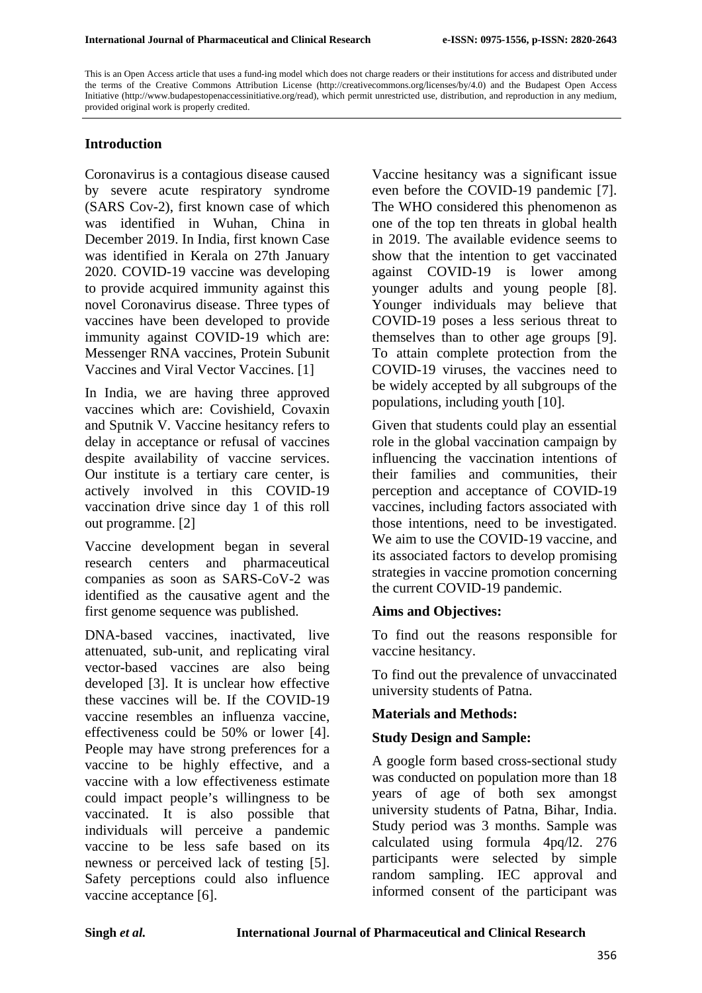This is an Open Access article that uses a fund-ing model which does not charge readers or their institutions for access and distributed under the terms of the Creative Commons Attribution License (http://creativecommons.org/licenses/by/4.0) and the Budapest Open Access Initiative (http://www.budapestopenaccessinitiative.org/read), which permit unrestricted use, distribution, and reproduction in any medium, provided original work is properly credited.

## **Introduction**

Coronavirus is a contagious disease caused by severe acute respiratory syndrome (SARS Cov-2), first known case of which was identified in Wuhan, China in December 2019. In India, first known Case was identified in Kerala on 27th January 2020. COVID-19 vaccine was developing to provide acquired immunity against this novel Coronavirus disease. Three types of vaccines have been developed to provide immunity against COVID-19 which are: Messenger RNA vaccines, Protein Subunit Vaccines and Viral Vector Vaccines. [1]

In India, we are having three approved vaccines which are: Covishield, Covaxin and Sputnik V. Vaccine hesitancy refers to delay in acceptance or refusal of vaccines despite availability of vaccine services. Our institute is a tertiary care center, is actively involved in this COVID-19 vaccination drive since day 1 of this roll out programme. [2]

Vaccine development began in several research centers and pharmaceutical companies as soon as SARS-CoV-2 was identified as the causative agent and the first genome sequence was published.

DNA-based vaccines, inactivated, live attenuated, sub-unit, and replicating viral vector-based vaccines are also being developed [3]. It is unclear how effective these vaccines will be. If the COVID-19 vaccine resembles an influenza vaccine, effectiveness could be 50% or lower [4]. People may have strong preferences for a vaccine to be highly effective, and a vaccine with a low effectiveness estimate could impact people's willingness to be vaccinated. It is also possible that individuals will perceive a pandemic vaccine to be less safe based on its newness or perceived lack of testing [5]. Safety perceptions could also influence vaccine acceptance [6].

Vaccine hesitancy was a significant issue even before the COVID-19 pandemic [7]. The WHO considered this phenomenon as one of the top ten threats in global health in 2019. The available evidence seems to show that the intention to get vaccinated against COVID-19 is lower among younger adults and young people [8]. Younger individuals may believe that COVID-19 poses a less serious threat to themselves than to other age groups [9]. To attain complete protection from the COVID-19 viruses, the vaccines need to be widely accepted by all subgroups of the populations, including youth [10].

Given that students could play an essential role in the global vaccination campaign by influencing the vaccination intentions of their families and communities, their perception and acceptance of COVID-19 vaccines, including factors associated with those intentions, need to be investigated. We aim to use the COVID-19 vaccine, and its associated factors to develop promising strategies in vaccine promotion concerning the current COVID-19 pandemic.

## **Aims and Objectives:**

To find out the reasons responsible for vaccine hesitancy.

To find out the prevalence of unvaccinated university students of Patna.

## **Materials and Methods:**

## **Study Design and Sample:**

A google form based cross-sectional study was conducted on population more than 18 years of age of both sex amongst university students of Patna, Bihar, India. Study period was 3 months. Sample was calculated using formula 4pq/l2. 276 participants were selected by simple random sampling. IEC approval and informed consent of the participant was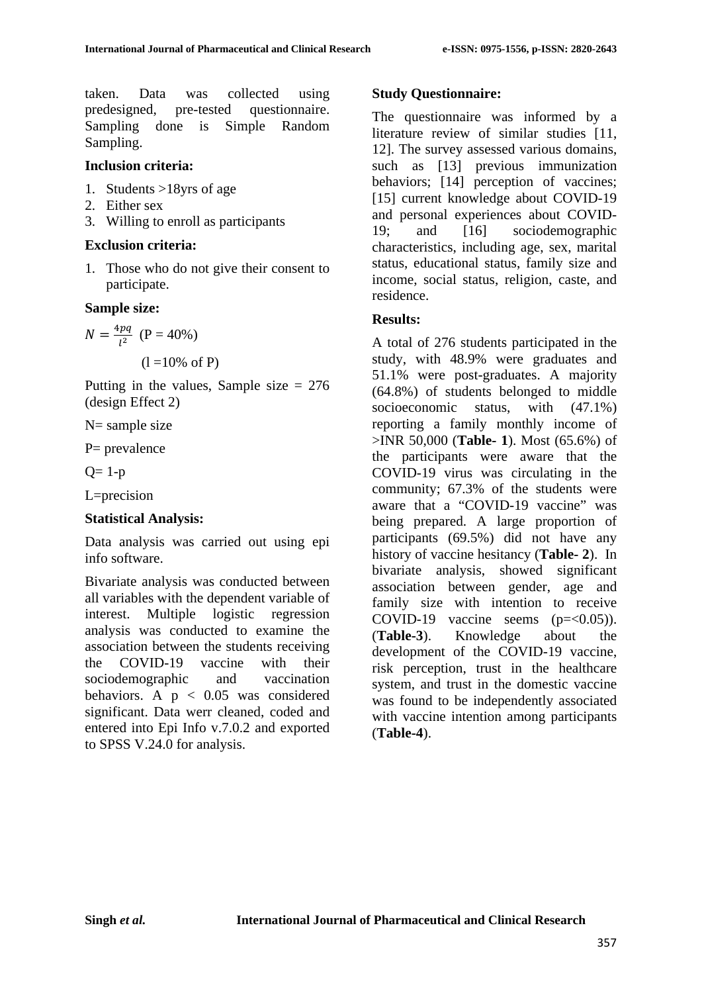taken. Data was collected using predesigned, pre-tested questionnaire. Sampling done is Simple Random Sampling.

#### **Inclusion criteria:**

- 1. Students >18yrs of age
- 2. Either sex
- 3. Willing to enroll as participants

#### **Exclusion criteria:**

1. Those who do not give their consent to participate.

#### **Sample size:**

$$
N = \frac{4pq}{l^2} \text{ (P = 40\%)}
$$
  
(1 = 10% of P)

Putting in the values, Sample size  $= 276$ (design Effect 2)

 $N=$  sample size

P= prevalence

 $Q = 1-p$ 

L=precision

#### **Statistical Analysis:**

Data analysis was carried out using epi info software.

Bivariate analysis was conducted between all variables with the dependent variable of interest. Multiple logistic regression analysis was conducted to examine the association between the students receiving the COVID-19 vaccine with their sociodemographic and vaccination behaviors. A  $p < 0.05$  was considered significant. Data werr cleaned, coded and entered into Epi Info v.7.0.2 and exported to SPSS V.24.0 for analysis.

## **Study Questionnaire:**

The questionnaire was informed by a literature review of similar studies [11, 12]. The survey assessed various domains, such as [13] previous immunization behaviors; [14] perception of vaccines; [15] current knowledge about COVID-19 and personal experiences about COVID-19; and [16] sociodemographic characteristics, including age, sex, marital status, educational status, family size and income, social status, religion, caste, and residence.

## **Results:**

A total of 276 students participated in the study, with 48.9% were graduates and 51.1% were post-graduates. A majority (64.8%) of students belonged to middle socioeconomic status, with (47.1%) reporting a family monthly income of >INR 50,000 (**Table- 1**). Most (65.6%) of the participants were aware that the COVID-19 virus was circulating in the community; 67.3% of the students were aware that a "COVID-19 vaccine" was being prepared. A large proportion of participants (69.5%) did not have any history of vaccine hesitancy (**Table- 2**). In bivariate analysis, showed significant association between gender, age and family size with intention to receive COVID-19 vaccine seems  $(p=<0.05)$ ). (**Table-3**). Knowledge about the development of the COVID-19 vaccine, risk perception, trust in the healthcare system, and trust in the domestic vaccine was found to be independently associated with vaccine intention among participants (**Table-4**).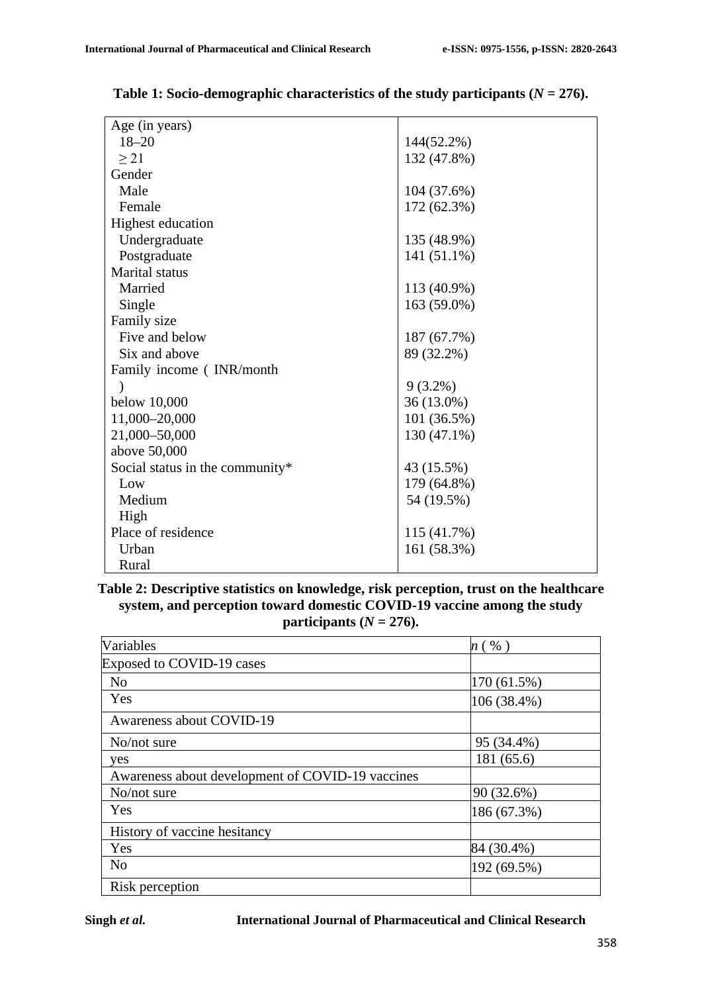| Age (in years)                  |             |
|---------------------------------|-------------|
| $18 - 20$                       | 144(52.2%)  |
| $\geq$ 21                       | 132 (47.8%) |
| Gender                          |             |
| Male                            | 104 (37.6%) |
| Female                          | 172 (62.3%) |
| Highest education               |             |
| Undergraduate                   | 135 (48.9%) |
| Postgraduate                    | 141 (51.1%) |
| Marital status                  |             |
| Married                         | 113 (40.9%) |
| Single                          | 163 (59.0%) |
| Family size                     |             |
| Five and below                  | 187 (67.7%) |
| Six and above                   | 89 (32.2%)  |
| Family income (INR/month        |             |
|                                 | $9(3.2\%)$  |
| below 10,000                    | 36 (13.0%)  |
| 11,000-20,000                   | 101 (36.5%) |
| 21,000-50,000                   | 130 (47.1%) |
| above 50,000                    |             |
| Social status in the community* | 43 (15.5%)  |
| Low                             | 179 (64.8%) |
| Medium                          | 54 (19.5%)  |
| High                            |             |
| Place of residence              | 115 (41.7%) |
| Urban                           | 161 (58.3%) |
| Rural                           |             |

**Table 1: Socio-demographic characteristics of the study participants (***N* **= 276).**

## **Table 2: Descriptive statistics on knowledge, risk perception, trust on the healthcare system, and perception toward domestic COVID-19 vaccine among the study participants**  $(N = 276)$ .

| Variables                                        | $n$ ( $\%$ ) |
|--------------------------------------------------|--------------|
| Exposed to COVID-19 cases                        |              |
| N <sub>o</sub>                                   | 170 (61.5%)  |
| Yes                                              | 106 (38.4%)  |
| Awareness about COVID-19                         |              |
| No/not sure                                      | 95 (34.4%)   |
| yes                                              | 181 (65.6)   |
| Awareness about development of COVID-19 vaccines |              |
| No/not sure                                      | 90 (32.6%)   |
| Yes                                              | 186 (67.3%)  |
| History of vaccine hesitancy                     |              |
| Yes                                              | 84 (30.4%)   |
| N <sub>o</sub>                                   | 192 (69.5%)  |
| Risk perception                                  |              |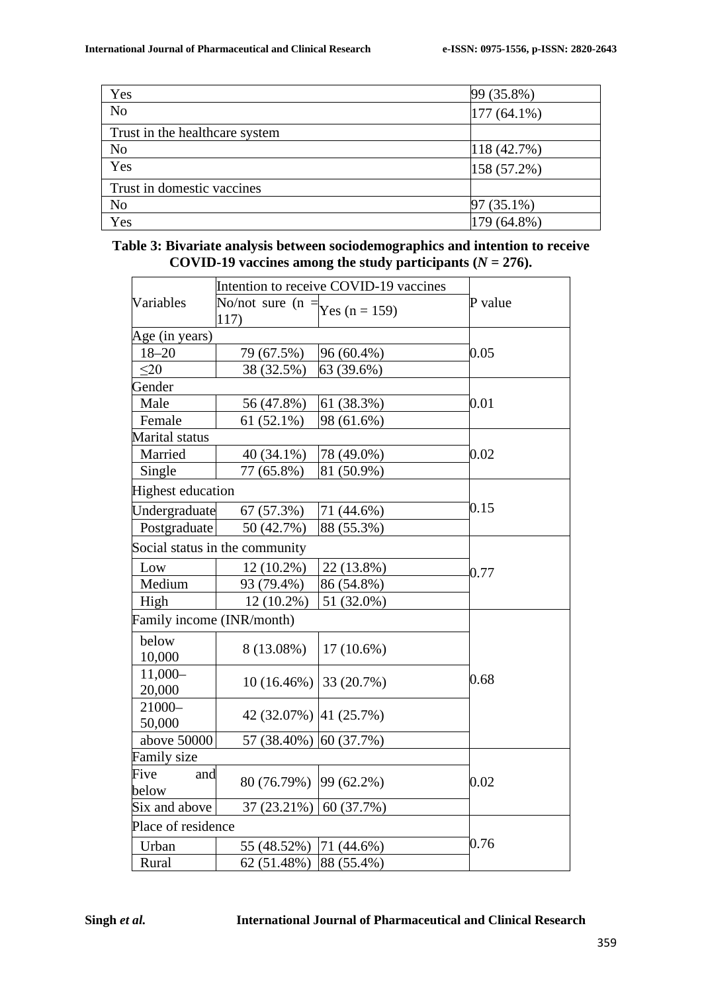| Yes                            | 99 (35.8%)    |
|--------------------------------|---------------|
| N <sub>o</sub>                 | $177(64.1\%)$ |
| Trust in the healthcare system |               |
| No                             | 118 (42.7%)   |
| Yes                            | 158 (57.2%)   |
| Trust in domestic vaccines     |               |
| N <sub>0</sub>                 | 97 (35.1%)    |
| Yes                            | 179 (64.8%)   |

| Table 3: Bivariate analysis between sociodemographics and intention to receive |  |
|--------------------------------------------------------------------------------|--|
| COVID-19 vaccines among the study participants ( $N = 276$ ).                  |  |

|                          | Intention to receive COVID-19 vaccines    |              |         |
|--------------------------|-------------------------------------------|--------------|---------|
| Variables                | No/not sure (n = $Y$ es (n = 159)<br>117) |              | P value |
| Age (in years)           |                                           |              |         |
| $18 - 20$                | 79 (67.5%)                                | 96 (60.4%)   | 0.05    |
| $\leq$ 20                | 38 (32.5%)                                | 63 (39.6%)   |         |
| Gender                   |                                           |              | 0.01    |
| Male                     | 56 (47.8%)                                | 61 (38.3%)   |         |
| Female                   | 61 (52.1%)                                | 98 (61.6%)   |         |
| Marital status           |                                           |              |         |
| Married                  | 40 (34.1%)                                | 78 (49.0%)   | 0.02    |
| Single                   | 77 (65.8%)                                | 81 (50.9%)   |         |
| <b>Highest education</b> |                                           |              |         |
| Undergraduate            | 67 (57.3%)                                | 71 (44.6%)   | 0.15    |
| Postgraduate             | 50 (42.7%)                                | 88 (55.3%)   |         |
|                          | Social status in the community            |              | 0.77    |
| Low                      | 12 (10.2%)                                | 22 (13.8%)   |         |
| Medium                   | 93 (79.4%)                                | 86 (54.8%)   |         |
| High                     | 12 (10.2%)                                | 51 (32.0%)   |         |
|                          | Family income (INR/month)                 |              |         |
| below<br>10,000          | 8 (13.08%)                                | $17(10.6\%)$ |         |
| $11,000-$<br>20,000      | $10(16.46\%)$                             | 33 (20.7%)   | 0.68    |
| 21000-<br>50,000         | 42 (32.07%) 41 (25.7%)                    |              |         |
| above 50000              | 57 (38.40%)                               | 60 (37.7%)   |         |
| <b>Family size</b>       |                                           |              |         |
| Five<br>and<br>below     | 80 (76.79%)                               | 99 (62.2%)   | 0.02    |
| Six and above            | 37 (23.21%)                               | 60 (37.7%)   |         |
| Place of residence       |                                           |              |         |
| Urban                    | 55 (48.52%)                               | 71 (44.6%)   | 0.76    |
| Rural                    | 62 (51.48%)                               | 88 (55.4%)   |         |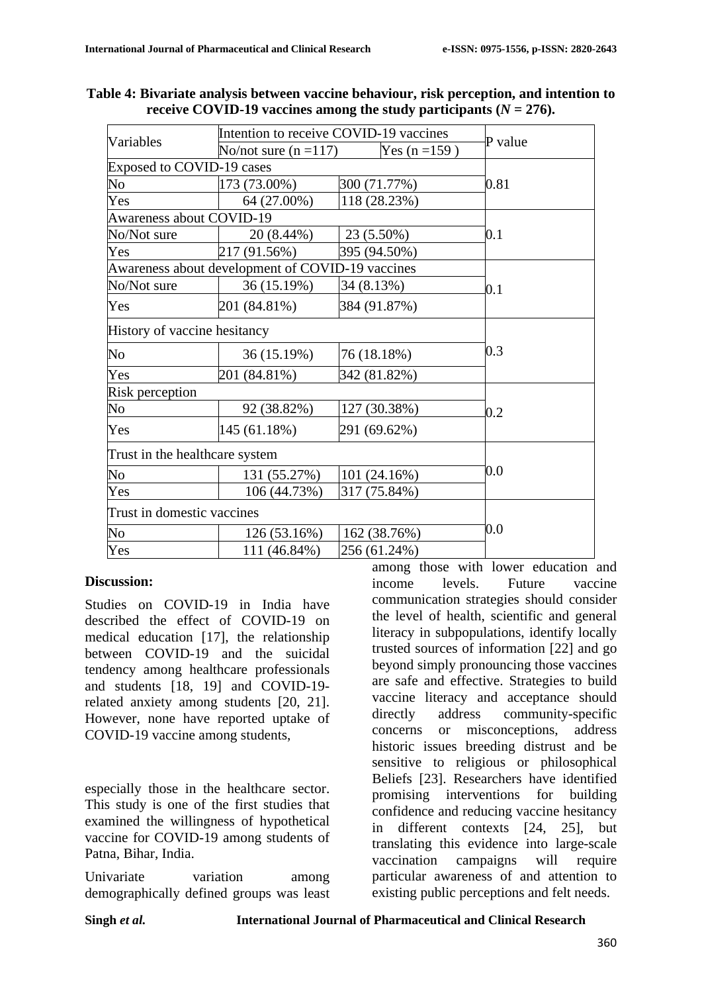| Variables                        | Intention to receive COVID-19 vaccines           |              | P value |  |
|----------------------------------|--------------------------------------------------|--------------|---------|--|
|                                  | No/not sure $(n=117)$<br>Yes $(n = 159)$         |              |         |  |
| <b>Exposed to COVID-19 cases</b> |                                                  |              |         |  |
| No                               | 173 (73.00%)                                     | 300 (71.77%) | 0.81    |  |
| Yes                              | 64 (27.00%)                                      | 118 (28.23%) |         |  |
| <b>Awareness about COVID-19</b>  |                                                  |              |         |  |
| No/Not sure                      | 20 (8.44%)                                       | 23 (5.50%)   | 0.1     |  |
| Yes                              | 217 (91.56%)                                     | 395 (94.50%) |         |  |
|                                  | Awareness about development of COVID-19 vaccines |              |         |  |
| No/Not sure                      | 36 (15.19%)                                      | 34 (8.13%)   | 0.1     |  |
| Yes                              | 201 (84.81%)                                     | 384 (91.87%) |         |  |
|                                  | History of vaccine hesitancy                     |              |         |  |
| No                               | 36 (15.19%)                                      | 76 (18.18%)  | 0.3     |  |
| Yes                              | 201 (84.81%)                                     | 342 (81.82%) |         |  |
| Risk perception                  |                                                  |              |         |  |
| No                               | 92 (38.82%)                                      | 127 (30.38%) | 0.2     |  |
| Yes                              | 145 (61.18%)                                     | 291 (69.62%) |         |  |
| Trust in the healthcare system   |                                                  |              |         |  |
| No                               | 131 (55.27%)                                     | 101 (24.16%) | 0.0     |  |
| Yes                              | 106 (44.73%)                                     | 317 (75.84%) |         |  |
| Trust in domestic vaccines       |                                                  |              |         |  |
| No                               | 126 (53.16%)                                     | 162 (38.76%) | $0.0\,$ |  |
| Yes                              | 111 (46.84%)                                     | 256 (61.24%) |         |  |

**Table 4: Bivariate analysis between vaccine behaviour, risk perception, and intention to receive COVID-19 vaccines among the study participants (** $N = 276$ **).** 

#### **Discussion:**

Studies on COVID-19 in India have described the effect of COVID-19 on medical education [17], the relationship between COVID-19 and the suicidal tendency among healthcare professionals and students [18, 19] and COVID-19 related anxiety among students [20, 21]. However, none have reported uptake of COVID-19 vaccine among students,

especially those in the healthcare sector. This study is one of the first studies that examined the willingness of hypothetical vaccine for COVID-19 among students of Patna, Bihar, India.

Univariate variation among demographically defined groups was least among those with lower education and income levels. Future vaccine communication strategies should consider the level of health, scientific and general literacy in subpopulations, identify locally trusted sources of information [22] and go beyond simply pronouncing those vaccines are safe and effective. Strategies to build vaccine literacy and acceptance should directly address community-specific concerns or misconceptions, address historic issues breeding distrust and be sensitive to religious or philosophical Beliefs [23]. Researchers have identified promising interventions for building confidence and reducing vaccine hesitancy in different contexts [24, 25], but translating this evidence into large-scale vaccination campaigns will require particular awareness of and attention to existing public perceptions and felt needs.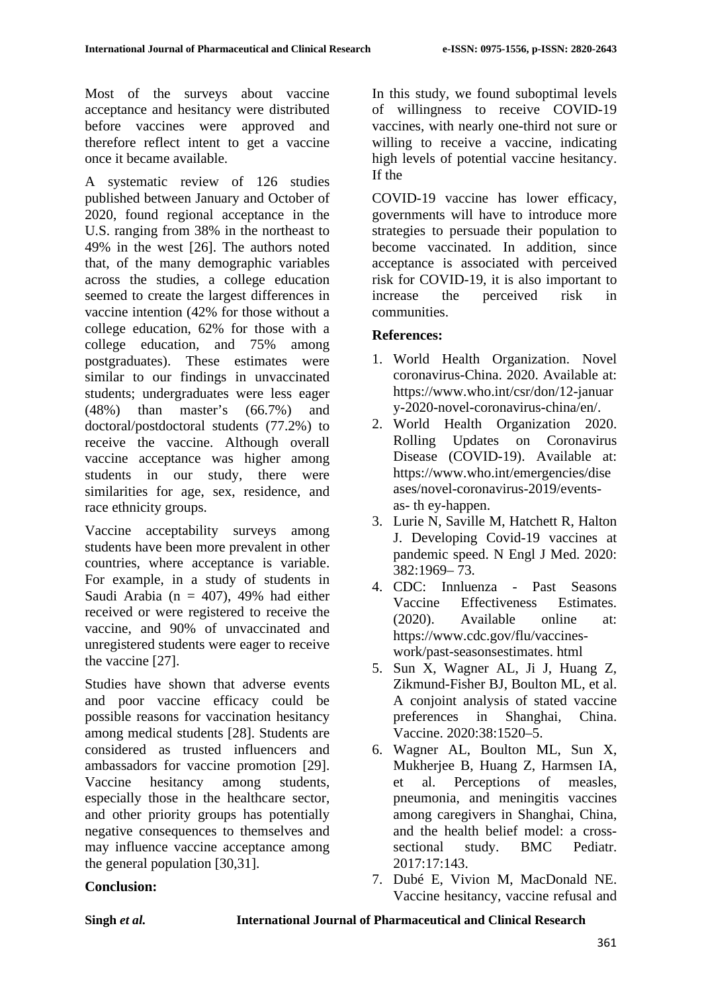Most of the surveys about vaccine acceptance and hesitancy were distributed before vaccines were approved and therefore reflect intent to get a vaccine once it became available.

A systematic review of 126 studies published between January and October of 2020, found regional acceptance in the U.S. ranging from 38% in the northeast to 49% in the west [26]. The authors noted that, of the many demographic variables across the studies, a college education seemed to create the largest differences in vaccine intention (42% for those without a college education, 62% for those with a college education, and 75% among postgraduates). These estimates were similar to our findings in unvaccinated students; undergraduates were less eager (48%) than master's (66.7%) and doctoral/postdoctoral students (77.2%) to receive the vaccine. Although overall vaccine acceptance was higher among students in our study, there were similarities for age, sex, residence, and race ethnicity groups.

Vaccine acceptability surveys among students have been more prevalent in other countries, where acceptance is variable. For example, in a study of students in Saudi Arabia (n = 407), 49% had either received or were registered to receive the vaccine, and 90% of unvaccinated and unregistered students were eager to receive the vaccine [27].

Studies have shown that adverse events and poor vaccine efficacy could be possible reasons for vaccination hesitancy among medical students [28]. Students are considered as trusted influencers and ambassadors for vaccine promotion [29]. Vaccine hesitancy among students, especially those in the healthcare sector, and other priority groups has potentially negative consequences to themselves and may influence vaccine acceptance among the general population [30,31].

In this study, we found suboptimal levels of willingness to receive COVID-19 vaccines, with nearly one-third not sure or willing to receive a vaccine, indicating high levels of potential vaccine hesitancy. If the

COVID-19 vaccine has lower efficacy, governments will have to introduce more strategies to persuade their population to become vaccinated. In addition, since acceptance is associated with perceived risk for COVID-19, it is also important to increase the perceived risk in communities.

# **References:**

- 1. World Health Organization. Novel coronavirus-China. 2020. Available at: https://www.who.int/csr/don/12-januar y-2020-novel-coronavirus-china/en/.
- 2. World Health Organization 2020. Rolling Updates on Coronavirus Disease (COVID-19). Available at: https://www.who.int/emergencies/dise ases/novel-coronavirus-2019/eventsas- th ey-happen.
- 3. Lurie N, Saville M, Hatchett R, Halton J. Developing Covid-19 vaccines at pandemic speed. N Engl J Med. 2020: 382:1969– 73.
- 4. CDC: Innluenza Past Seasons Vaccine Effectiveness Estimates. (2020). Available online at: [https://www.cdc.gov/flu/vaccines](https://www.cdc.gov/flu/vaccines-work/past-seasonsestimates)[work/past-seasonsestimates.](https://www.cdc.gov/flu/vaccines-work/past-seasonsestimates) html
- 5. Sun X, Wagner AL, Ji J, Huang Z, Zikmund-Fisher BJ, Boulton ML, et al. A conjoint analysis of stated vaccine preferences in Shanghai, China. Vaccine. 2020:38:1520–5.
- 6. Wagner AL, Boulton ML, Sun X, Mukherjee B, Huang Z, Harmsen IA, et al. Perceptions of measles, pneumonia, and meningitis vaccines among caregivers in Shanghai, China, and the health belief model: a crosssectional study. BMC Pediatr. 2017:17:143.
- 7. Dubé E, Vivion M, MacDonald NE. Vaccine hesitancy, vaccine refusal and

# **Conclusion:**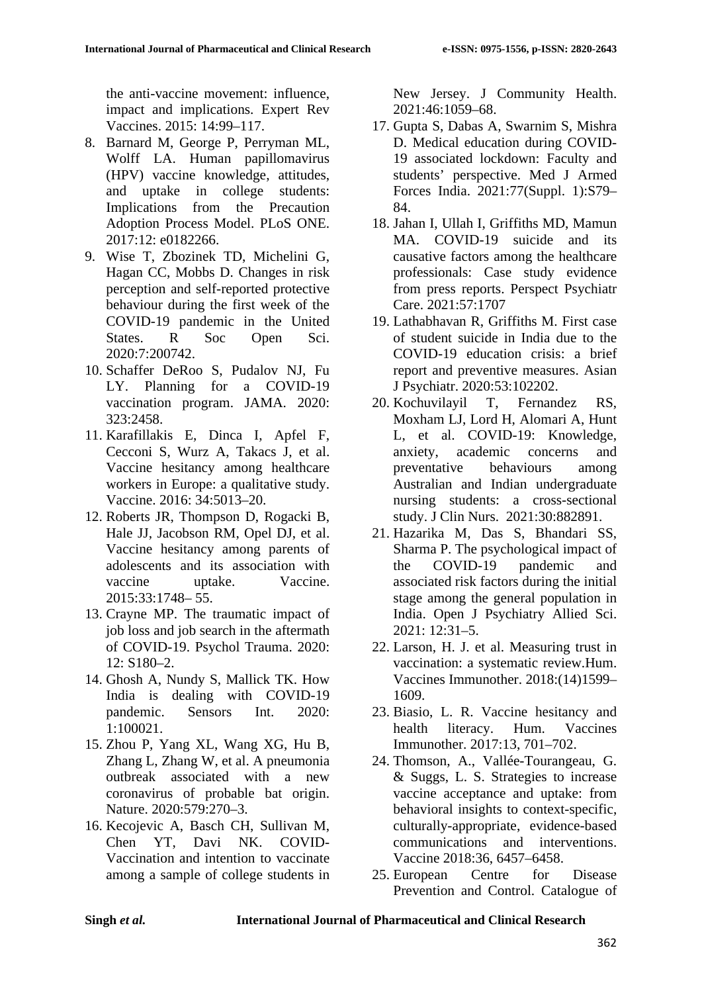the anti-vaccine movement: influence, impact and implications. Expert Rev Vaccines. 2015: 14:99–117.

- 8. Barnard M, George P, Perryman ML, Wolff LA. Human papillomavirus (HPV) vaccine knowledge, attitudes, and uptake in college students: Implications from the Precaution Adoption Process Model. PLoS ONE. 2017:12: e0182266.
- 9. Wise T, Zbozinek TD, Michelini G, Hagan CC, Mobbs D. Changes in risk perception and self-reported protective behaviour during the first week of the COVID-19 pandemic in the United States. R Soc Open Sci. 2020:7:200742.
- 10. Schaffer DeRoo S, Pudalov NJ, Fu LY. Planning for a COVID-19 vaccination program. JAMA. 2020: 323:2458.
- 11. Karafillakis E, Dinca I, Apfel F, Cecconi S, Wurz A, Takacs J, et al. Vaccine hesitancy among healthcare workers in Europe: a qualitative study. Vaccine. 2016: 34:5013–20.
- 12. Roberts JR, Thompson D, Rogacki B, Hale JJ, Jacobson RM, Opel DJ, et al. Vaccine hesitancy among parents of adolescents and its association with vaccine uptake. Vaccine. 2015:33:1748– 55.
- 13. Crayne MP. The traumatic impact of job loss and job search in the aftermath of COVID-19. Psychol Trauma. 2020: 12: S180–2.
- 14. Ghosh A, Nundy S, Mallick TK. How India is dealing with COVID-19 pandemic. Sensors Int. 2020: 1:100021.
- 15. Zhou P, Yang XL, Wang XG, Hu B, Zhang L, Zhang W, et al. A pneumonia outbreak associated with a new coronavirus of probable bat origin. Nature. 2020:579:270–3.
- 16. Kecojevic A, Basch CH, Sullivan M, Chen YT, Davi NK. COVID-Vaccination and intention to vaccinate among a sample of college students in

New Jersey. J Community Health. 2021:46:1059–68.

- 17. Gupta S, Dabas A, Swarnim S, Mishra D. Medical education during COVID-19 associated lockdown: Faculty and students' perspective. Med J Armed Forces India. 2021:77(Suppl. 1):S79– 84.
- 18. Jahan I, Ullah I, Griffiths MD, Mamun MA. COVID-19 suicide and its causative factors among the healthcare professionals: Case study evidence from press reports. Perspect Psychiatr Care. 2021:57:1707
- 19. Lathabhavan R, Griffiths M. First case of student suicide in India due to the COVID-19 education crisis: a brief report and preventive measures. Asian J Psychiatr. 2020:53:102202.
- 20. Kochuvilayil T, Fernandez RS, Moxham LJ, Lord H, Alomari A, Hunt L, et al. COVID-19: Knowledge, anxiety, academic concerns and preventative behaviours among Australian and Indian undergraduate nursing students: a cross-sectional study. J Clin Nurs. 2021:30:882891.
- 21. Hazarika M, Das S, Bhandari SS, Sharma P. The psychological impact of the COVID-19 pandemic and associated risk factors during the initial stage among the general population in India. Open J Psychiatry Allied Sci. 2021: 12:31–5.
- 22. Larson, H. J. et al. Measuring trust in vaccination: a systematic review.Hum. Vaccines Immunother. 2018:(14)1599– 1609.
- 23. Biasio, L. R. Vaccine hesitancy and health literacy. Hum. Vaccines Immunother. 2017:13, 701–702.
- 24. Thomson, A., Vallée-Tourangeau, G. & Suggs, L. S. Strategies to increase vaccine acceptance and uptake: from behavioral insights to context-specific, culturally-appropriate, evidence-based communications and interventions. Vaccine 2018:36, 6457–6458.
- 25. European Centre for Disease Prevention and Control. Catalogue of